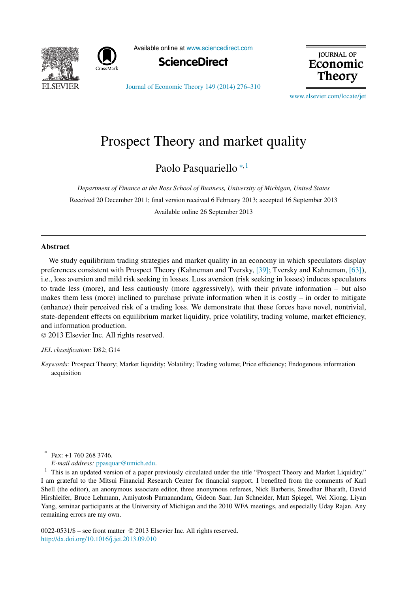



Available online at [www.sciencedirect.com](http://www.sciencedirect.com)



**JOURNAL OF** Economic Theorv

[Journal of Economic Theory 149 \(2014\) 276–310](http://dx.doi.org/10.1016/j.jet.2013.09.010)

[www.elsevier.com/locate/jet](http://www.elsevier.com/locate/jet)

## Prospect Theory and market quality

Paolo Pasquariello <sup>∗</sup>*,*<sup>1</sup>

*Department of Finance at the Ross School of Business, University of Michigan, United States* Received 20 December 2011; final version received 6 February 2013; accepted 16 September 2013 Available online 26 September 2013

### **Abstract**

We study equilibrium trading strategies and market quality in an economy in which speculators display preferences consistent with Prospect Theory (Kahneman and Tversky, [\[39\];](#page--1-0) Tversky and Kahneman, [\[63\]\)](#page--1-0), i.e., loss aversion and mild risk seeking in losses. Loss aversion (risk seeking in losses) induces speculators to trade less (more), and less cautiously (more aggressively), with their private information – but also makes them less (more) inclined to purchase private information when it is costly – in order to mitigate (enhance) their perceived risk of a trading loss. We demonstrate that these forces have novel, nontrivial, state-dependent effects on equilibrium market liquidity, price volatility, trading volume, market efficiency, and information production.

© 2013 Elsevier Inc. All rights reserved.

#### *JEL classification:* D82; G14

*Keywords:* Prospect Theory; Market liquidity; Volatility; Trading volume; Price efficiency; Endogenous information acquisition

Fax: +1 760 268 3746.

*E-mail address:* [ppasquar@umich.edu](mailto:ppasquar@umich.edu).

<sup>&</sup>lt;sup>1</sup> This is an updated version of a paper previously circulated under the title "Prospect Theory and Market Liquidity." I am grateful to the Mitsui Financial Research Center for financial support. I benefited from the comments of Karl Shell (the editor), an anonymous associate editor, three anonymous referees, Nick Barberis, Sreedhar Bharath, David Hirshleifer, Bruce Lehmann, Amiyatosh Purnanandam, Gideon Saar, Jan Schneider, Matt Spiegel, Wei Xiong, Liyan Yang, seminar participants at the University of Michigan and the 2010 WFA meetings, and especially Uday Rajan. Any remaining errors are my own.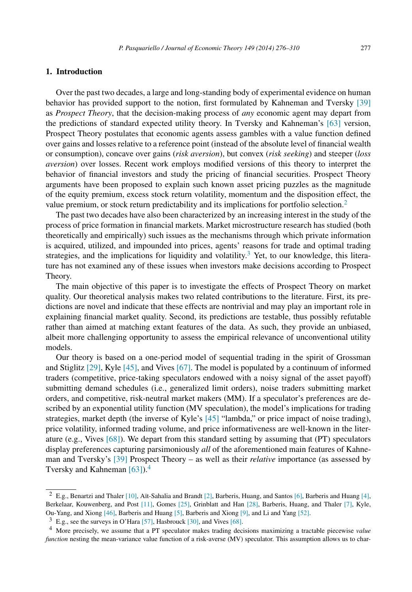### **1. Introduction**

Over the past two decades, a large and long-standing body of experimental evidence on human behavior has provided support to the notion, first formulated by Kahneman and Tversky [\[39\]](#page--1-0) as *Prospect Theory*, that the decision-making process of *any* economic agent may depart from the predictions of standard expected utility theory. In Tversky and Kahneman's [\[63\]](#page--1-0) version, Prospect Theory postulates that economic agents assess gambles with a value function defined over gains and losses relative to a reference point (instead of the absolute level of financial wealth or consumption), concave over gains (*risk aversion*), but convex (*risk seeking*) and steeper (*loss aversion*) over losses. Recent work employs modified versions of this theory to interpret the behavior of financial investors and study the pricing of financial securities. Prospect Theory arguments have been proposed to explain such known asset pricing puzzles as the magnitude of the equity premium, excess stock return volatility, momentum and the disposition effect, the value premium, or stock return predictability and its implications for portfolio selection.<sup>2</sup>

The past two decades have also been characterized by an increasing interest in the study of the process of price formation in financial markets. Market microstructure research has studied (both theoretically and empirically) such issues as the mechanisms through which private information is acquired, utilized, and impounded into prices, agents' reasons for trade and optimal trading strategies, and the implications for liquidity and volatility.<sup>3</sup> Yet, to our knowledge, this literature has not examined any of these issues when investors make decisions according to Prospect Theory.

The main objective of this paper is to investigate the effects of Prospect Theory on market quality. Our theoretical analysis makes two related contributions to the literature. First, its predictions are novel and indicate that these effects are nontrivial and may play an important role in explaining financial market quality. Second, its predictions are testable, thus possibly refutable rather than aimed at matching extant features of the data. As such, they provide an unbiased, albeit more challenging opportunity to assess the empirical relevance of unconventional utility models.

Our theory is based on a one-period model of sequential trading in the spirit of Grossman and Stiglitz  $[29]$ , Kyle  $[45]$ , and Vives  $[67]$ . The model is populated by a continuum of informed traders (competitive, price-taking speculators endowed with a noisy signal of the asset payoff) submitting demand schedules (i.e., generalized limit orders), noise traders submitting market orders, and competitive, risk-neutral market makers (MM). If a speculator's preferences are described by an exponential utility function (MV speculation), the model's implications for trading strategies, market depth (the inverse of Kyle's [\[45\]](#page--1-0) "lambda," or price impact of noise trading), price volatility, informed trading volume, and price informativeness are well-known in the literature (e.g., Vives  $[68]$ ). We depart from this standard setting by assuming that (PT) speculators display preferences capturing parsimoniously *all* of the aforementioned main features of Kahneman and Tversky's [\[39\]](#page--1-0) Prospect Theory – as well as their *relative* importance (as assessed by Tversky and Kahneman  $[63]$ .<sup>4</sup>

<sup>&</sup>lt;sup>2</sup> E.g., Benartzi and Thaler [\[10\],](#page--1-0) Aït-Sahalia and Brandt [\[2\],](#page--1-0) Barberis, Huang, and Santos [\[6\],](#page--1-0) Barberis and Huang [\[4\],](#page--1-0) Berkelaar, Kouwenberg, and Post [\[11\],](#page--1-0) Gomes [\[25\],](#page--1-0) Grinblatt and Han [\[28\],](#page--1-0) Barberis, Huang, and Thaler [\[7\],](#page--1-0) Kyle, Ou-Yang, and Xiong [\[46\],](#page--1-0) Barberis and Huang [\[5\],](#page--1-0) Barberis and Xiong [\[9\],](#page--1-0) and Li and Yang [\[52\].](#page--1-0)

 $3\text{ E.g., see the surveys in O'Hara [57], Hasbrouck [30], and Vives [68].}$  $3\text{ E.g., see the surveys in O'Hara [57], Hasbrouck [30], and Vives [68].}$  $3\text{ E.g., see the surveys in O'Hara [57], Hasbrouck [30], and Vives [68].}$  $3\text{ E.g., see the surveys in O'Hara [57], Hasbrouck [30], and Vives [68].}$  $3\text{ E.g., see the surveys in O'Hara [57], Hasbrouck [30], and Vives [68].}$  $3\text{ E.g., see the surveys in O'Hara [57], Hasbrouck [30], and Vives [68].}$  $3\text{ E.g., see the surveys in O'Hara [57], Hasbrouck [30], and Vives [68].}$ 

<sup>4</sup> More precisely, we assume that a PT speculator makes trading decisions maximizing a tractable piecewise *value function* nesting the mean-variance value function of a risk-averse (MV) speculator. This assumption allows us to char-